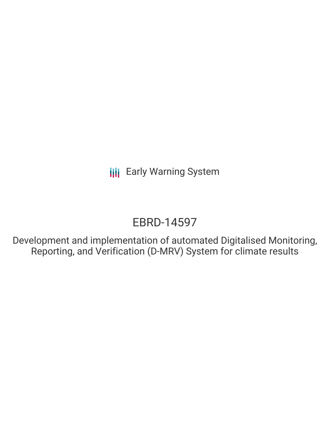# EBRD-14597

Development and implementation of automated Digitalised Monitoring, Reporting, and Verification (D-MRV) System for climate results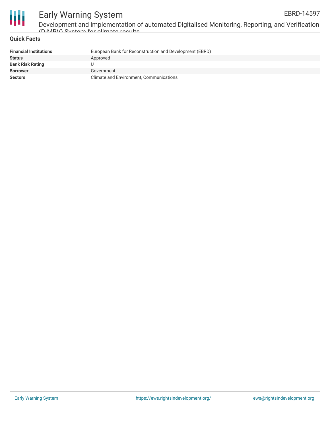

Development and implementation of automated Digitalised Monitoring, Reporting, and Verification (D-MRV) System for climate results

#### **Quick Facts**

| <b>Financial Institutions</b> | European Bank for Reconstruction and Development (EBRD) |
|-------------------------------|---------------------------------------------------------|
| <b>Status</b>                 | Approved                                                |
| <b>Bank Risk Rating</b>       |                                                         |
| <b>Borrower</b>               | Government                                              |
| <b>Sectors</b>                | Climate and Environment, Communications                 |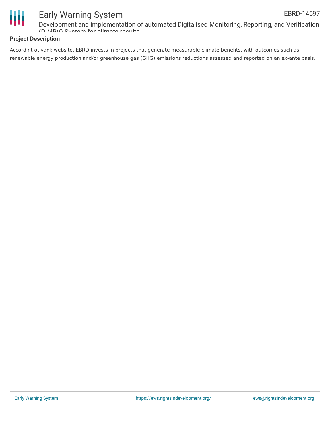

Development and implementation of automated Digitalised Monitoring, Reporting, and Verification (D-MRV) System for climate results

#### **Project Description**

Accordint ot vank website, EBRD invests in projects that generate measurable climate benefits, with outcomes such as renewable energy production and/or greenhouse gas (GHG) emissions reductions assessed and reported on an ex-ante basis.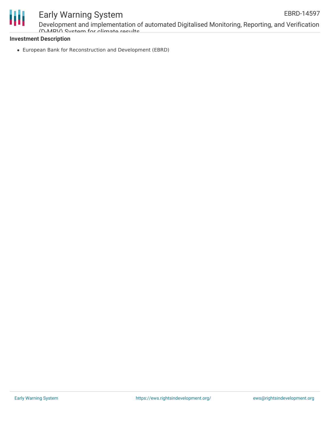

Development and implementation of automated Digitalised Monitoring, Reporting, and Verification (D-MRV) System for climate results

#### **Investment Description**

European Bank for Reconstruction and Development (EBRD)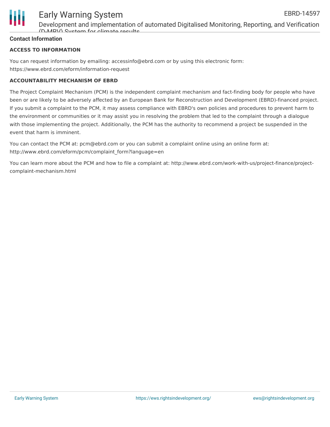

### Early Warning System EBRD-14597

Development and implementation of automated Digitalised Monitoring, Reporting, and Verification (D-MRV) System for climate results

#### **Contact Information**

#### **ACCESS TO INFORMATION**

You can request information by emailing: accessinfo@ebrd.com or by using this electronic form: https://www.ebrd.com/eform/information-request

#### **ACCOUNTABILITY MECHANISM OF EBRD**

The Project Complaint Mechanism (PCM) is the independent complaint mechanism and fact-finding body for people who have been or are likely to be adversely affected by an European Bank for Reconstruction and Development (EBRD)-financed project. If you submit a complaint to the PCM, it may assess compliance with EBRD's own policies and procedures to prevent harm to the environment or communities or it may assist you in resolving the problem that led to the complaint through a dialogue with those implementing the project. Additionally, the PCM has the authority to recommend a project be suspended in the event that harm is imminent.

You can contact the PCM at: pcm@ebrd.com or you can submit a complaint online using an online form at: http://www.ebrd.com/eform/pcm/complaint\_form?language=en

You can learn more about the PCM and how to file a complaint at: http://www.ebrd.com/work-with-us/project-finance/projectcomplaint-mechanism.html